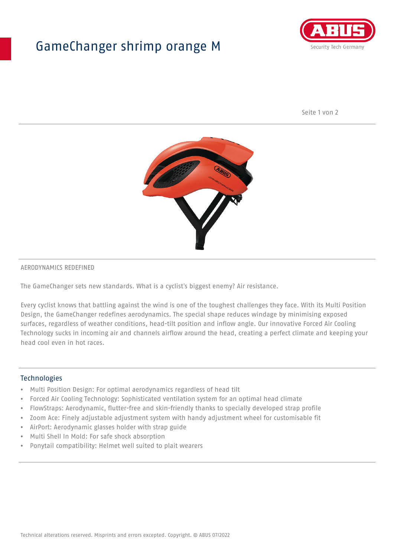## GameChanger shrimp orange M



Seite 1 von 2



#### AERODYNAMICS REDEFINED

The GameChanger sets new standards. What is a cyclist's biggest enemy? Air resistance.

Every cyclist knows that battling against the wind is one of the toughest challenges they face. With its Multi Position Design, the GameChanger redefines aerodynamics. The special shape reduces windage by minimising exposed surfaces, regardless of weather conditions, head-tilt position and inflow angle. Our innovative Forced Air Cooling Technology sucks in incoming air and channels airflow around the head, creating a perfect climate and keeping your head cool even in hot races.

#### Technologies

- Multi Position Design: For optimal aerodynamics regardless of head tilt
- Forced Air Cooling Technology: Sophisticated ventilation system for an optimal head climate
- FlowStraps: Aerodynamic, flutter-free and skin-friendly thanks to specially developed strap profile
- Zoom Ace: Finely adjustable adjustment system with handy adjustment wheel for customisable fit
- AirPort: Aerodynamic glasses holder with strap guide
- Multi Shell In Mold: For safe shock absorption
- Ponytail compatibility: Helmet well suited to plait wearers